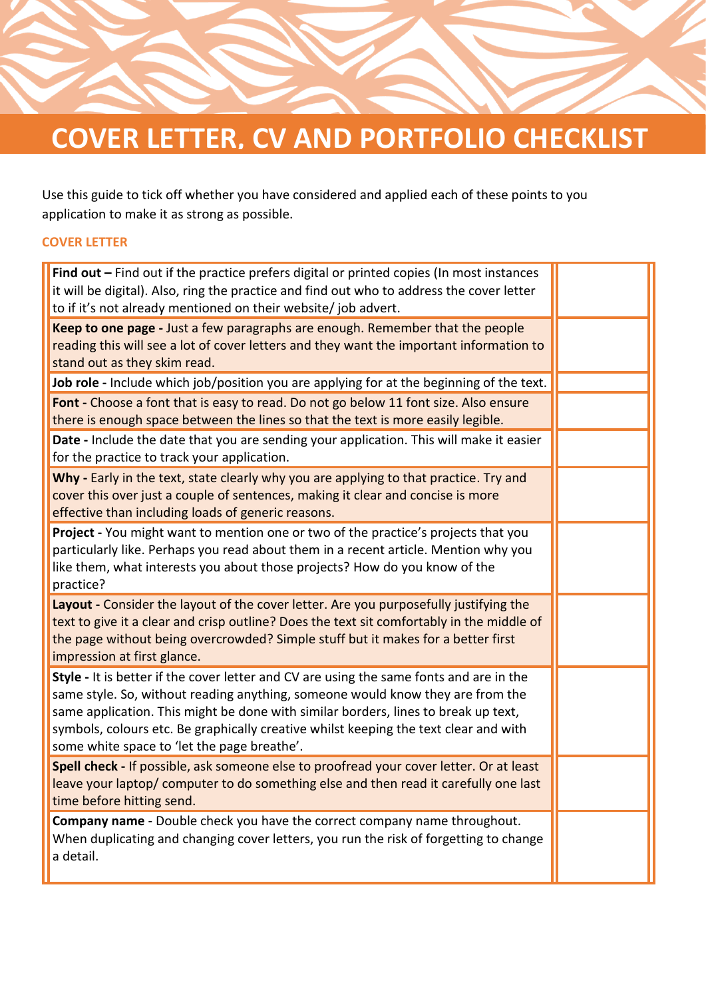

Use this guide to tick off whether you have considered and applied each of these points to you application to make it as strong as possible.

## **COVER LETTER**

| Find out $-$ Find out if the practice prefers digital or printed copies (In most instances<br>it will be digital). Also, ring the practice and find out who to address the cover letter<br>to if it's not already mentioned on their website/ job advert.                                                                                                                                              |  |
|--------------------------------------------------------------------------------------------------------------------------------------------------------------------------------------------------------------------------------------------------------------------------------------------------------------------------------------------------------------------------------------------------------|--|
| Keep to one page - Just a few paragraphs are enough. Remember that the people<br>reading this will see a lot of cover letters and they want the important information to<br>stand out as they skim read.                                                                                                                                                                                               |  |
| Job role - Include which job/position you are applying for at the beginning of the text.                                                                                                                                                                                                                                                                                                               |  |
| Font - Choose a font that is easy to read. Do not go below 11 font size. Also ensure<br>there is enough space between the lines so that the text is more easily legible.                                                                                                                                                                                                                               |  |
| Date - Include the date that you are sending your application. This will make it easier<br>for the practice to track your application.                                                                                                                                                                                                                                                                 |  |
| Why - Early in the text, state clearly why you are applying to that practice. Try and<br>cover this over just a couple of sentences, making it clear and concise is more<br>effective than including loads of generic reasons.                                                                                                                                                                         |  |
| Project - You might want to mention one or two of the practice's projects that you<br>particularly like. Perhaps you read about them in a recent article. Mention why you<br>like them, what interests you about those projects? How do you know of the<br>practice?                                                                                                                                   |  |
| Layout - Consider the layout of the cover letter. Are you purposefully justifying the<br>text to give it a clear and crisp outline? Does the text sit comfortably in the middle of<br>the page without being overcrowded? Simple stuff but it makes for a better first<br>impression at first glance.                                                                                                  |  |
| Style - It is better if the cover letter and CV are using the same fonts and are in the<br>same style. So, without reading anything, someone would know they are from the<br>same application. This might be done with similar borders, lines to break up text,<br>symbols, colours etc. Be graphically creative whilst keeping the text clear and with<br>some white space to 'let the page breathe'. |  |
| Spell check - If possible, ask someone else to proofread your cover letter. Or at least<br>leave your laptop/ computer to do something else and then read it carefully one last<br>time before hitting send.                                                                                                                                                                                           |  |
| Company name - Double check you have the correct company name throughout.<br>When duplicating and changing cover letters, you run the risk of forgetting to change<br>a detail.                                                                                                                                                                                                                        |  |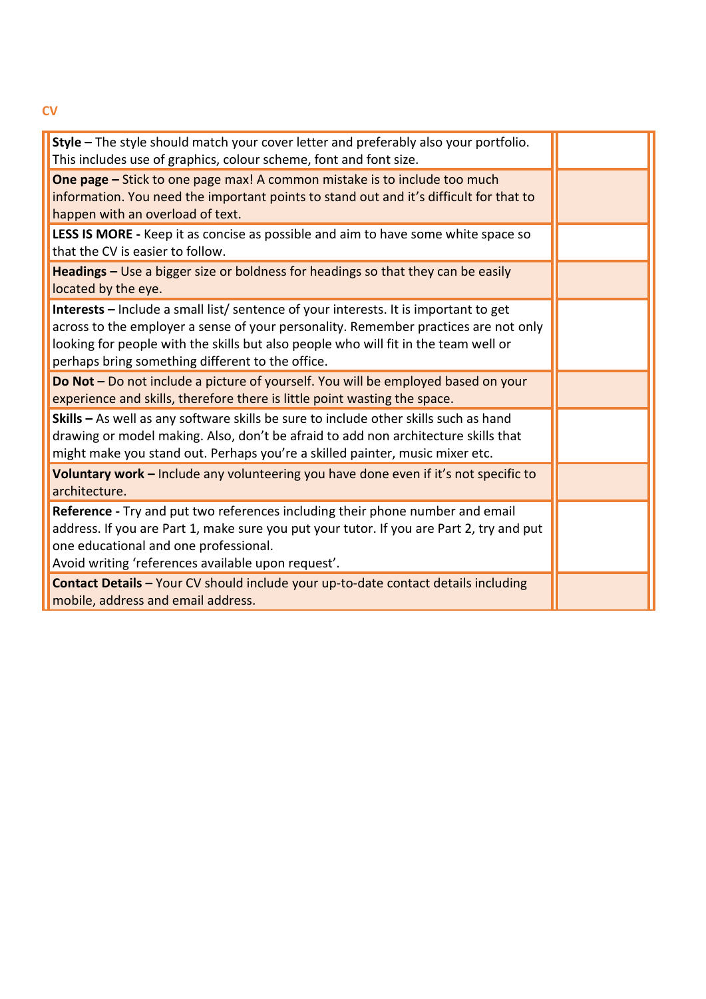| Style - The style should match your cover letter and preferably also your portfolio.<br>This includes use of graphics, colour scheme, font and font size.                                                                                                                                                              |  |
|------------------------------------------------------------------------------------------------------------------------------------------------------------------------------------------------------------------------------------------------------------------------------------------------------------------------|--|
| <b>One page -</b> Stick to one page max! A common mistake is to include too much<br>information. You need the important points to stand out and it's difficult for that to<br>happen with an overload of text.                                                                                                         |  |
| LESS IS MORE - Keep it as concise as possible and aim to have some white space so<br>that the CV is easier to follow.                                                                                                                                                                                                  |  |
| Headings - Use a bigger size or boldness for headings so that they can be easily<br>located by the eye.                                                                                                                                                                                                                |  |
| Interests - Include a small list/ sentence of your interests. It is important to get<br>across to the employer a sense of your personality. Remember practices are not only<br>looking for people with the skills but also people who will fit in the team well or<br>perhaps bring something different to the office. |  |
| Do Not - Do not include a picture of yourself. You will be employed based on your<br>experience and skills, therefore there is little point wasting the space.                                                                                                                                                         |  |
| Skills - As well as any software skills be sure to include other skills such as hand<br>drawing or model making. Also, don't be afraid to add non architecture skills that<br>might make you stand out. Perhaps you're a skilled painter, music mixer etc.                                                             |  |
| Voluntary work - Include any volunteering you have done even if it's not specific to<br>architecture.                                                                                                                                                                                                                  |  |
| Reference - Try and put two references including their phone number and email<br>address. If you are Part 1, make sure you put your tutor. If you are Part 2, try and put<br>one educational and one professional.<br>Avoid writing 'references available upon request'.                                               |  |
| Contact Details - Your CV should include your up-to-date contact details including<br>mobile, address and email address.                                                                                                                                                                                               |  |

**CV**